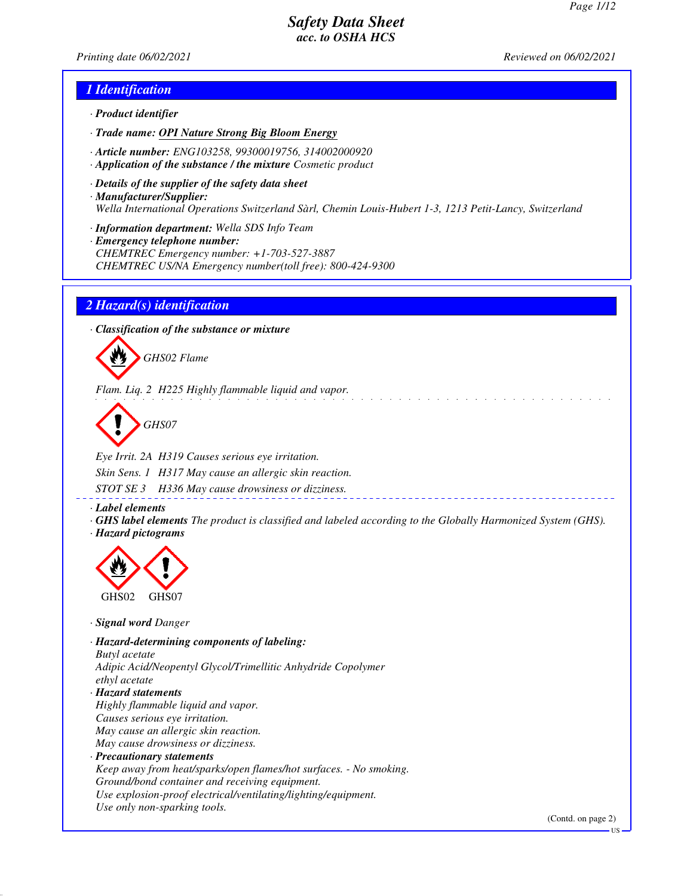*Printing date 06/02/2021 Reviewed on 06/02/2021*

### *1 Identification*

- *· Product identifier*
- *· Trade name: OPI Nature Strong Big Bloom Energy*
- *· Article number: ENG103258, 99300019756, 314002000920*
- *· Application of the substance / the mixture Cosmetic product*
- *· Details of the supplier of the safety data sheet · Manufacturer/Supplier: Wella International Operations Switzerland Sàrl, Chemin Louis-Hubert 1-3, 1213 Petit-Lancy, Switzerland*
- *· Information department: Wella SDS Info Team*
- *· Emergency telephone number: CHEMTREC Emergency number: +1-703-527-3887 CHEMTREC US/NA Emergency number(toll free): 800-424-9300*

### *2 Hazard(s) identification*

*· Classification of the substance or mixture*



*Flam. Liq. 2 H225 Highly flammable liquid and vapor.*

*GHS07*

*Eye Irrit. 2A H319 Causes serious eye irritation. Skin Sens. 1 H317 May cause an allergic skin reaction. STOT SE 3 H336 May cause drowsiness or dizziness.*

*· Label elements*

*· GHS label elements The product is classified and labeled according to the Globally Harmonized System (GHS). · Hazard pictograms*



*· Signal word Danger*

*· Hazard-determining components of labeling: Butyl acetate Adipic Acid/Neopentyl Glycol/Trimellitic Anhydride Copolymer ethyl acetate · Hazard statements Highly flammable liquid and vapor. Causes serious eye irritation. May cause an allergic skin reaction. May cause drowsiness or dizziness. · Precautionary statements Keep away from heat/sparks/open flames/hot surfaces. - No smoking. Ground/bond container and receiving equipment. Use explosion-proof electrical/ventilating/lighting/equipment. Use only non-sparking tools.*

(Contd. on page 2)

US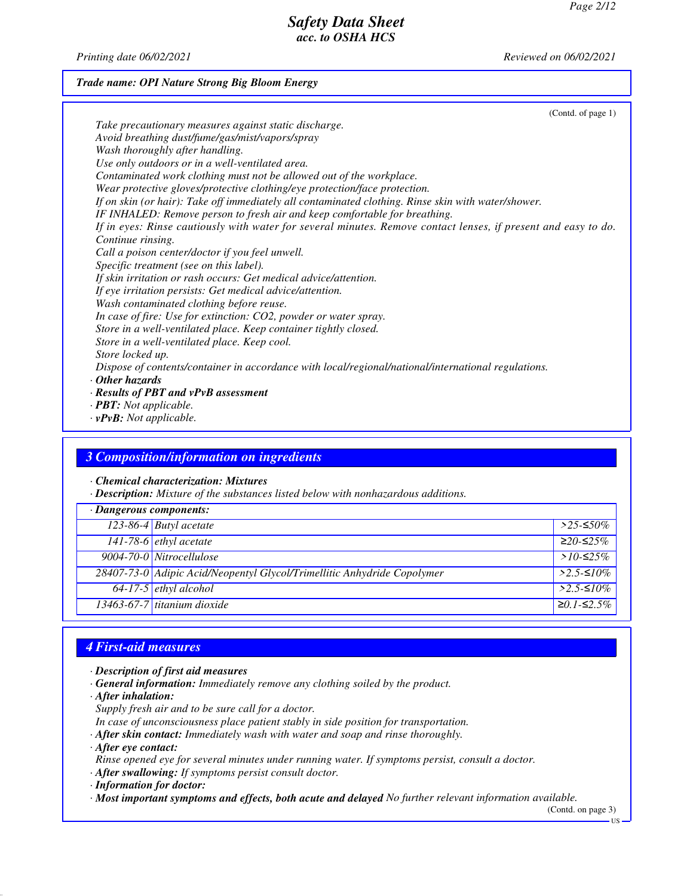*Printing date 06/02/2021 Reviewed on 06/02/2021*

### *Trade name: OPI Nature Strong Big Bloom Energy*

| (Contd. of page $1$ )                                                                                          |
|----------------------------------------------------------------------------------------------------------------|
| Take precautionary measures against static discharge.                                                          |
| Avoid breathing dust/fume/gas/mist/vapors/spray                                                                |
| Wash thoroughly after handling.                                                                                |
| Use only outdoors or in a well-ventilated area.                                                                |
| Contaminated work clothing must not be allowed out of the workplace.                                           |
| Wear protective gloves/protective clothing/eye protection/face protection.                                     |
| If on skin (or hair): Take off immediately all contaminated clothing. Rinse skin with water/shower.            |
| IF INHALED: Remove person to fresh air and keep comfortable for breathing.                                     |
| If in eyes: Rinse cautiously with water for several minutes. Remove contact lenses, if present and easy to do. |
| Continue rinsing.                                                                                              |
| Call a poison center/doctor if you feel unwell.                                                                |
| Specific treatment (see on this label).                                                                        |
| If skin irritation or rash occurs: Get medical advice/attention.                                               |
| If eye irritation persists: Get medical advice/attention.                                                      |
| Wash contaminated clothing before reuse.                                                                       |
| In case of fire: Use for extinction: CO2, powder or water spray.                                               |
| Store in a well-ventilated place. Keep container tightly closed.                                               |
| Store in a well-ventilated place. Keep cool.                                                                   |
| Store locked up.                                                                                               |
| Dispose of contents/container in accordance with local/regional/national/international regulations.            |
| $\cdot$ Other hazards                                                                                          |
| $\cdot$ Results of PBT and vPvB assessment                                                                     |
| $\cdot$ <b>PBT:</b> Not applicable.                                                                            |

*· vPvB: Not applicable.*

### *3 Composition/information on ingredients*

*· Chemical characterization: Mixtures*

*· Description: Mixture of the substances listed below with nonhazardous additions.*

| · Dangerous components: |                                                                         |              |  |  |
|-------------------------|-------------------------------------------------------------------------|--------------|--|--|
|                         | 123-86-4 Butyl acetate                                                  | $>$ 25-≤50%  |  |  |
|                         | $141-78-6$ ethyl acetate                                                | $≥20-≤25%$   |  |  |
|                         | 9004-70-0 Nitrocellulose                                                | > $10$ -≤25% |  |  |
|                         | 28407-73-0 Adipic Acid/Neopentyl Glycol/Trimellitic Anhydride Copolymer | $>2.5-10\%$  |  |  |
|                         | $64-17-5$ ethyl alcohol                                                 | $>2.5-10\%$  |  |  |
|                         | $13463-67-7$ titanium dioxide                                           | $≥0.1-S2.5%$ |  |  |

# *4 First-aid measures*

- *· Description of first aid measures*
- *· General information: Immediately remove any clothing soiled by the product.*
- *· After inhalation:*
- *Supply fresh air and to be sure call for a doctor.*
- *In case of unconsciousness place patient stably in side position for transportation.*
- *· After skin contact: Immediately wash with water and soap and rinse thoroughly.*
- *· After eye contact:*
- *Rinse opened eye for several minutes under running water. If symptoms persist, consult a doctor.*
- *· After swallowing: If symptoms persist consult doctor.*
- *· Information for doctor:*
- *· Most important symptoms and effects, both acute and delayed No further relevant information available.*

(Contd. on page 3)

US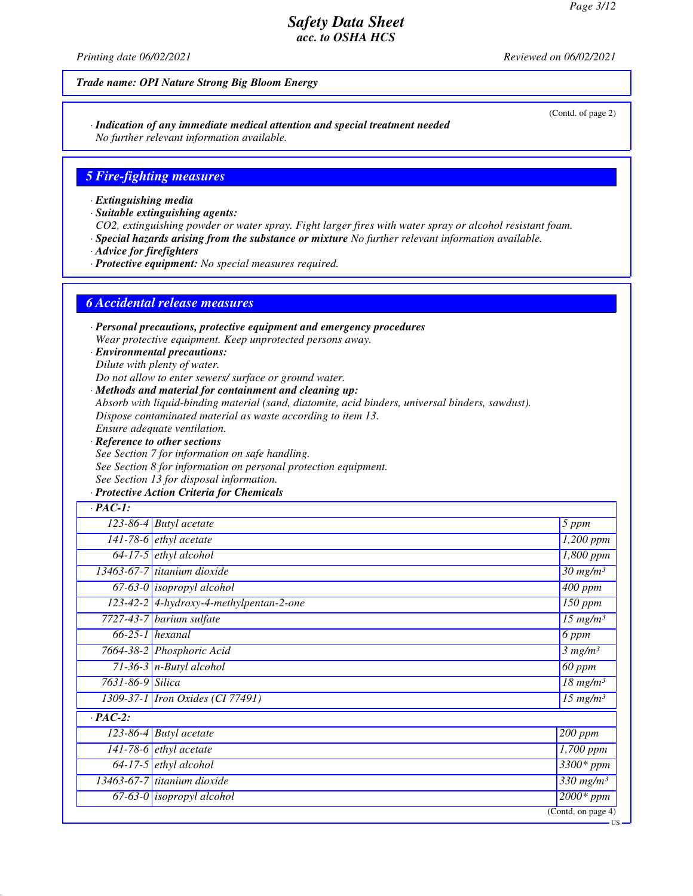*Printing date 06/02/2021 Reviewed on 06/02/2021*

#### *Trade name: OPI Nature Strong Big Bloom Energy*

*· Indication of any immediate medical attention and special treatment needed No further relevant information available.*

#### *5 Fire-fighting measures*

*· Extinguishing media*

*· Suitable extinguishing agents:*

*CO2, extinguishing powder or water spray. Fight larger fires with water spray or alcohol resistant foam.*

*· Special hazards arising from the substance or mixture No further relevant information available.*

*· Advice for firefighters*

*· Protective equipment: No special measures required.*

#### *6 Accidental release measures*

*· Personal precautions, protective equipment and emergency procedures Wear protective equipment. Keep unprotected persons away.*

*· Environmental precautions: Dilute with plenty of water.*

*Do not allow to enter sewers/ surface or ground water.*

*· Methods and material for containment and cleaning up:*

*Absorb with liquid-binding material (sand, diatomite, acid binders, universal binders, sawdust).*

*Dispose contaminated material as waste according to item 13.*

*Ensure adequate ventilation.*

*· Reference to other sections See Section 7 for information on safe handling. See Section 8 for information on personal protection equipment. See Section 13 for disposal information.*

#### *· Protective Action Criteria for Chemicals*

| $\cdot$ PAC-1:   |                                           |                                    |  |
|------------------|-------------------------------------------|------------------------------------|--|
|                  | $\overline{123}$ -86-4 Butyl acetate      | 5 ppm                              |  |
|                  | $\overline{141-78-6}$ ethyl acetate       | $1,200$ ppm                        |  |
|                  | $64-17-5$ ethyl alcohol                   | $\overline{1,}800$ ppm             |  |
|                  | 13463-67-7 titanium $\overline{diaxide}$  | $\overline{30}$ mg/m <sup>3</sup>  |  |
|                  | $67-63-0$ isopropyl alcohol               | $\overline{400}$ ppm               |  |
|                  | $123-42-2$ 4-hydroxy-4-methylpentan-2-one | $\overline{1}50$ ppm               |  |
|                  | $7727-43-7$ barium sulfate                | $15$ mg/m <sup>3</sup>             |  |
|                  | $66-25-1$ hexanal                         | 6 ppm                              |  |
|                  | 7664-38-2 Phosphoric Acid                 | 3 mg/m <sup>3</sup>                |  |
|                  | 71-36-3 $n$ -Butyl alcohol                | 60 ppm                             |  |
| 7631-86-9 Silica |                                           | $18$ mg/m <sup>3</sup>             |  |
|                  | 1309-37-1   Iron Oxides (CI 77491)        | $\overline{15}$ mg/m <sup>3</sup>  |  |
| $\cdot$ PAC-2:   |                                           |                                    |  |
|                  | 123-86-4 Butyl acetate                    | $200$ ppm                          |  |
|                  | $141-78-6$ ethyl acetate                  | 1,700 ppm                          |  |
|                  | $64-17-5$ ethyl alcohol                   | $3300*ppm$                         |  |
|                  | 13463-67-7 titanium dioxide               | $\overline{330}$ mg/m <sup>3</sup> |  |
|                  | $67-63-0$ isopropyl alcohol               | $2000*$ ppm                        |  |
|                  |                                           | (Cond. on page 4)                  |  |

(Contd. of page 2)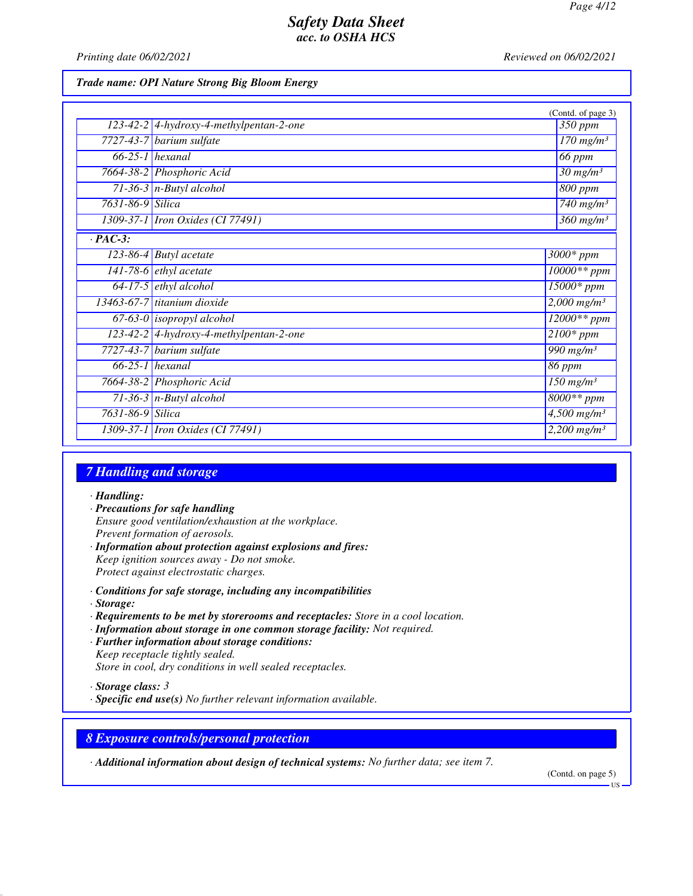*Printing date 06/02/2021 Reviewed on 06/02/2021*

#### *Trade name: OPI Nature Strong Big Bloom Energy*

|                      |                                           | (Contd. of page 3)                 |
|----------------------|-------------------------------------------|------------------------------------|
|                      | $123-42-2$ 4-hydroxy-4-methylpentan-2-one | $\overline{350}$ ppm               |
| 7727-43-7            | barium sulfate                            | $170$ mg/m <sup>3</sup>            |
|                      | $66-25-1$ hexanal                         | <b>66 ppm</b>                      |
|                      | 7664-38-2 Phosphoric Acid                 | $30 \frac{mg}{m^3}$                |
|                      | $71-36-3$ n-Butyl alcohol                 | $800$ ppm                          |
| 7631-86-9 Silica     |                                           | 740 mg/m $3$                       |
|                      | 1309-37-1 <i>Iron Oxides</i> (CI 77491)   | $360$ mg/m <sup>3</sup>            |
| $\overline{PAC-3}$ : |                                           |                                    |
| $123 - 86 - 4$       | <b>Butyl</b> acetate                      | $3000*$ ppm                        |
|                      | $141-78-6$ <i>ethyl</i> acetate           | $10000**$ ppm                      |
| $64 - 17 - 5$        | ethyl alcohol                             | 15000* ppm                         |
|                      | 13463-67-7 titanium dioxide               | $2,000$ mg/m <sup>3</sup>          |
|                      | $67-63-0$ isopropyl alcohol               | $12000**$ ppm                      |
|                      | 123-42-2 4-hydroxy-4-methylpentan-2-one   | $2100*$ ppm                        |
| 7727-43-7            | barium sulfate                            | $\overline{990}$ mg/m <sup>3</sup> |
|                      | $66-25-1$ hexanal                         | 86 ppm                             |
|                      | 7664-38-2 Phosphoric Acid                 | $150$ mg/m <sup>3</sup>            |
|                      | 71-36-3 $n$ -Butyl alcohol                | $8000**$ ppm                       |
| 7631-86-9 Silica     |                                           | $\frac{4,500 \text{ mg}}{m^3}$     |
|                      | 1309-37-1 <i>Iron Oxides</i> (CI 77491)   | $2,200$ mg/m <sup>3</sup>          |

# *7 Handling and storage*

#### *· Handling:*

- *· Precautions for safe handling Ensure good ventilation/exhaustion at the workplace. Prevent formation of aerosols. · Information about protection against explosions and fires:*
- *Keep ignition sources away Do not smoke. Protect against electrostatic charges.*
- *· Conditions for safe storage, including any incompatibilities*
- *· Storage:*
- *· Requirements to be met by storerooms and receptacles: Store in a cool location.*
- *· Information about storage in one common storage facility: Not required.*
- *· Further information about storage conditions: Keep receptacle tightly sealed. Store in cool, dry conditions in well sealed receptacles.*
- *· Storage class: 3*
- *· Specific end use(s) No further relevant information available.*

#### *8 Exposure controls/personal protection*

*· Additional information about design of technical systems: No further data; see item 7.*

(Contd. on page 5)

US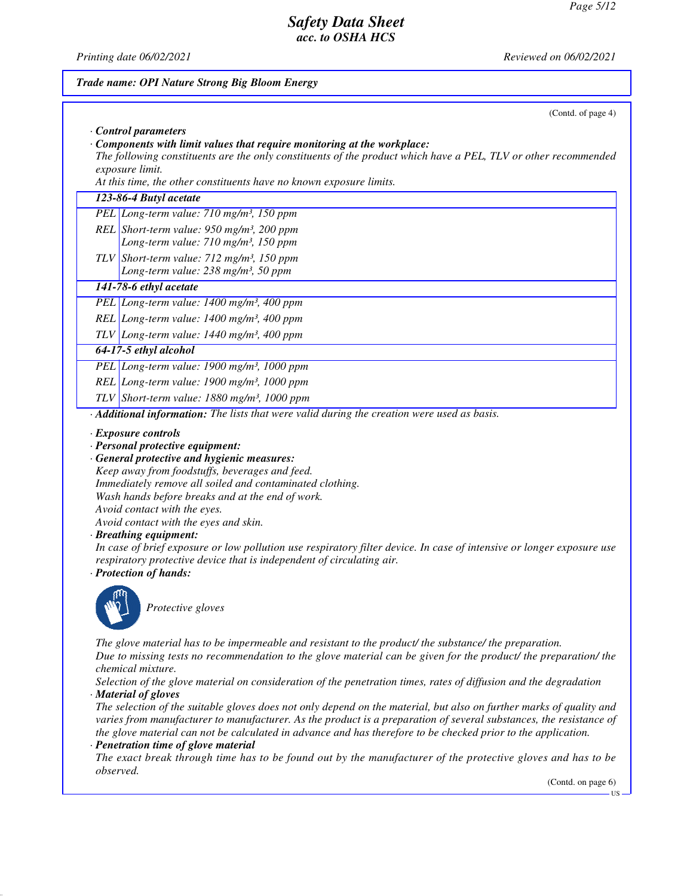*Printing date 06/02/2021 Reviewed on 06/02/2021*

# *Trade name: OPI Nature Strong Big Bloom Energy* (Contd. of page 4) *· Control parameters · Components with limit values that require monitoring at the workplace: The following constituents are the only constituents of the product which have a PEL, TLV or other recommended exposure limit. At this time, the other constituents have no known exposure limits. 123-86-4 Butyl acetate PEL Long-term value: 710 mg/m³, 150 ppm REL Short-term value: 950 mg/m³, 200 ppm Long-term value: 710 mg/m³, 150 ppm TLV Short-term value: 712 mg/m³, 150 ppm Long-term value: 238 mg/m³, 50 ppm 141-78-6 ethyl acetate PEL Long-term value: 1400 mg/m³, 400 ppm REL Long-term value: 1400 mg/m³, 400 ppm TLV Long-term value: 1440 mg/m³, 400 ppm 64-17-5 ethyl alcohol PEL Long-term value: 1900 mg/m³, 1000 ppm REL Long-term value: 1900 mg/m³, 1000 ppm TLV Short-term value: 1880 mg/m³, 1000 ppm · Additional information: The lists that were valid during the creation were used as basis. · Exposure controls · Personal protective equipment: · General protective and hygienic measures: Keep away from foodstuffs, beverages and feed. Immediately remove all soiled and contaminated clothing. Wash hands before breaks and at the end of work. Avoid contact with the eyes. Avoid contact with the eyes and skin. · Breathing equipment: In case of brief exposure or low pollution use respiratory filter device. In case of intensive or longer exposure use respiratory protective device that is independent of circulating air. · Protection of hands: Protective gloves The glove material has to be impermeable and resistant to the product/ the substance/ the preparation. Due to missing tests no recommendation to the glove material can be given for the product/ the preparation/ the chemical mixture. Selection of the glove material on consideration of the penetration times, rates of diffusion and the degradation · Material of gloves The selection of the suitable gloves does not only depend on the material, but also on further marks of quality and varies from manufacturer to manufacturer. As the product is a preparation of several substances, the resistance of the glove material can not be calculated in advance and has therefore to be checked prior to the application. · Penetration time of glove material The exact break through time has to be found out by the manufacturer of the protective gloves and has to be observed.* (Contd. on page 6) **TIC**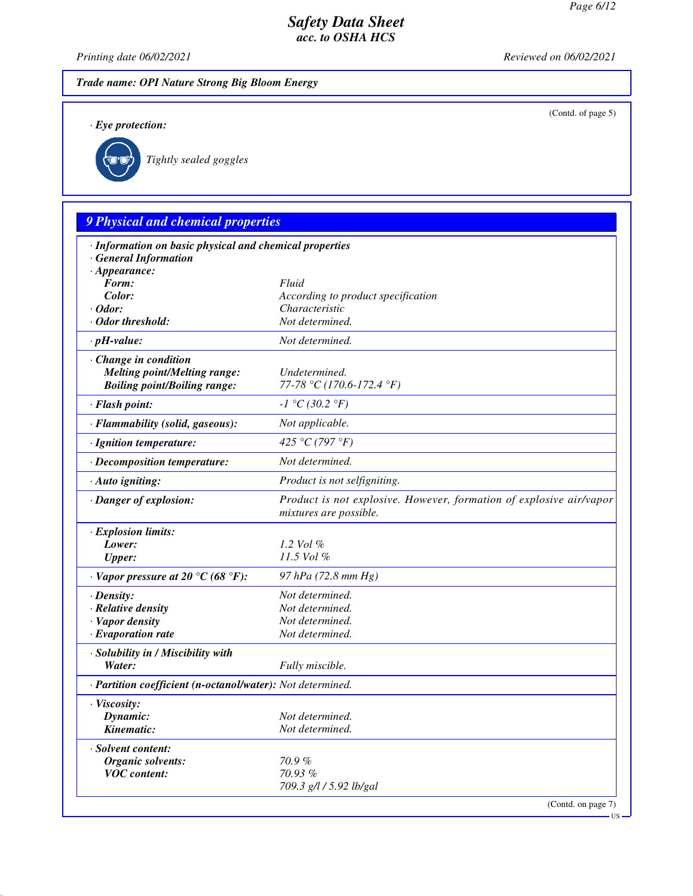(Contd. of page 5)

### *Safety Data Sheet acc. to OSHA HCS*

*Printing date 06/02/2021 Reviewed on 06/02/2021*

*Trade name: OPI Nature Strong Big Bloom Energy*

*· Eye protection:*



*Tightly sealed goggles*

# *9 Physical and chemical properties · Information on basic physical and chemical properties · General Information · Appearance: Form: Fluid Color: According to product specification · Odor: Characteristic · Odor threshold: Not determined. · pH-value: Not determined. · Change in condition Melting point/Melting range: Undetermined. Boiling point/Boiling range: 77-78 °C (170.6-172.4 °F) · Flash point: -1 °C (30.2 °F) · Flammability (solid, gaseous): Not applicable. · Ignition temperature: 425 °C (797 °F) · Decomposition temperature: Not determined. · Auto igniting: Product is not selfigniting. · Danger of explosion: Product is not explosive. However, formation of explosive air/vapor mixtures are possible. · Explosion limits: Lower: 1.2 Vol % Upper: 11.5 Vol % · Vapor pressure at 20 °C (68 °F): 97 hPa (72.8 mm Hg) · Density: Not determined. · Relative density Not determined. · Vapor density Not determined. <i>·* Evaporation rate *· Solubility in / Miscibility with Water: Fully miscible. · Partition coefficient (n-octanol/water): Not determined. · Viscosity: Dynamic: Not determined. Kinematic: Not determined. · Solvent content: Organic solvents: 70.9 % VOC content: 70.93 % 709.3 g/l / 5.92 lb/gal* (Contd. on page 7)

US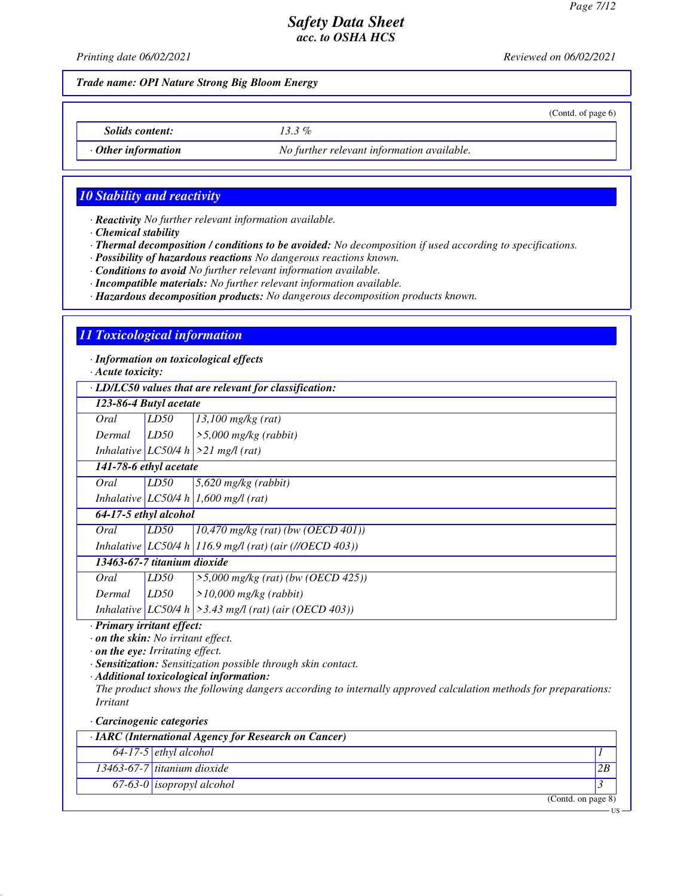(Contd. of page 6)

US

### *Safety Data Sheet acc. to OSHA HCS*

*Printing date 06/02/2021 Reviewed on 06/02/2021*

*Trade name: OPI Nature Strong Big Bloom Energy*

*Solids content: 13.3 %*

*· Other information No further relevant information available.*

### *10 Stability and reactivity*

*· Reactivity No further relevant information available.*

*· Chemical stability*

*· Thermal decomposition / conditions to be avoided: No decomposition if used according to specifications.*

*· Possibility of hazardous reactions No dangerous reactions known.*

*· Conditions to avoid No further relevant information available.*

*· Incompatible materials: No further relevant information available.*

*· Hazardous decomposition products: No dangerous decomposition products known.*

#### *11 Toxicological information*

*· Information on toxicological effects*

*· Acute toxicity:*

*· LD/LC50 values that are relevant for classification:*

| . LD/LC50 raides mat are reterant for classification. |      |                                                                                                                     |  |
|-------------------------------------------------------|------|---------------------------------------------------------------------------------------------------------------------|--|
| 123-86-4 Butyl acetate                                |      |                                                                                                                     |  |
| Oral                                                  | LD50 | $13,100$ mg/kg (rat)                                                                                                |  |
| Dermal                                                |      | $\geq 5,000$ mg/kg (rabbit)                                                                                         |  |
|                                                       |      |                                                                                                                     |  |
| 141-78-6 ethyl acetate                                |      |                                                                                                                     |  |
| Oral                                                  | LD50 | $5,620$ mg/kg (rabbit)                                                                                              |  |
|                                                       |      |                                                                                                                     |  |
| 64-17-5 ethyl alcohol                                 |      |                                                                                                                     |  |
| Oral                                                  | LD50 | $(10,470 \text{ mg/kg} (rat) (bw (OECD 401)))$                                                                      |  |
|                                                       |      | Inhalative LC50/4 h 116.9 mg/l (rat) (air (//OECD 403))                                                             |  |
|                                                       |      |                                                                                                                     |  |
| Oral                                                  | LD50 | $>5,000$ mg/kg (rat) (bw (OECD 425))                                                                                |  |
| Dermal                                                | LD50 | $>10,000$ mg/kg (rabbit)                                                                                            |  |
|                                                       |      | Inhalative LC50/4 h $\geq$ 3.43 mg/l (rat) (air (OECD 403))                                                         |  |
|                                                       |      | LD50<br>Inhalative LC50/4 h $>21$ mg/l (rat)<br>Inhalative LC50/4 h 1,600 mg/l (rat)<br>13463-67-7 titanium dioxide |  |

*· Primary irritant effect:*

*· on the skin: No irritant effect.*

*· on the eye: Irritating effect.*

*· Sensitization: Sensitization possible through skin contact.*

*· Additional toxicological information:*

*The product shows the following dangers according to internally approved calculation methods for preparations: Irritant*

#### *· Carcinogenic categories*

| · IARC (International Agency for Research on Cancer) |                                      |    |  |
|------------------------------------------------------|--------------------------------------|----|--|
|                                                      | $64-17-5$ ethyl alcohol              |    |  |
|                                                      | $\sqrt{13463-67-7}$ titanium dioxide | 2B |  |
|                                                      | $67-63-0$ isopropyl alcohol          |    |  |
|                                                      | (Contd. on page 8)                   |    |  |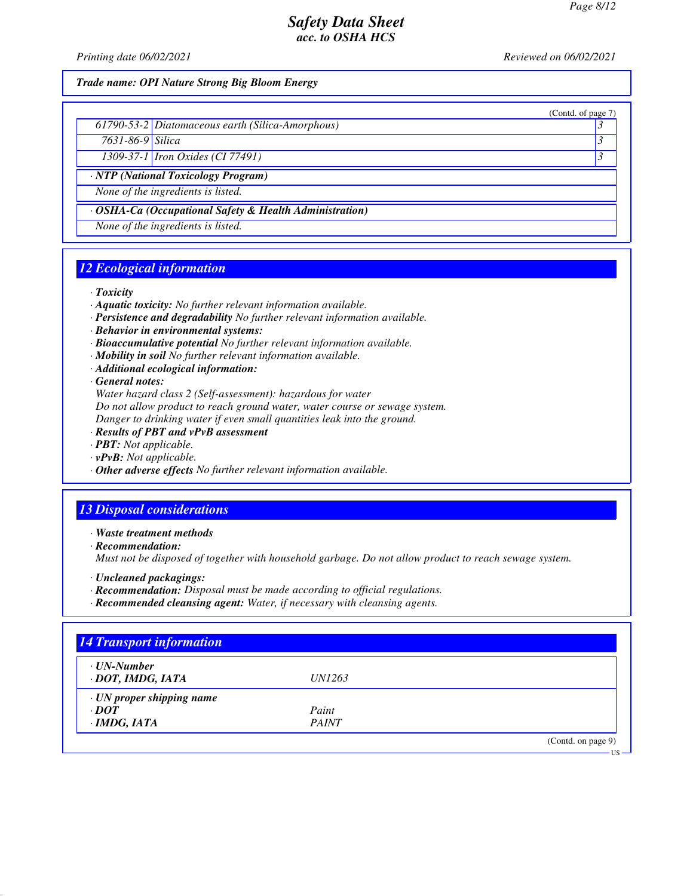(Contd. of page 7)

### *Safety Data Sheet acc. to OSHA HCS*

*Printing date 06/02/2021 Reviewed on 06/02/2021*

*Trade name: OPI Nature Strong Big Bloom Energy*

|  | 61790-53-2 Diatomaceous earth (Silica-Amorphous) |  |
|--|--------------------------------------------------|--|
|--|--------------------------------------------------|--|

*7631-86-9 Silica 3* 

*1309-37-1 Iron Oxides (CI 77491) 3* 

*· NTP (National Toxicology Program)*

*None of the ingredients is listed.*

*· OSHA-Ca (Occupational Safety & Health Administration)*

*None of the ingredients is listed.*

## *12 Ecological information*

*· Toxicity*

- *· Aquatic toxicity: No further relevant information available.*
- *· Persistence and degradability No further relevant information available.*
- *· Behavior in environmental systems:*
- *· Bioaccumulative potential No further relevant information available.*
- *· Mobility in soil No further relevant information available.*
- *· Additional ecological information:*

*· General notes:*

*Water hazard class 2 (Self-assessment): hazardous for water*

*Do not allow product to reach ground water, water course or sewage system.*

*Danger to drinking water if even small quantities leak into the ground.*

- *· Results of PBT and vPvB assessment*
- *· PBT: Not applicable.*
- *· vPvB: Not applicable.*
- *· Other adverse effects No further relevant information available.*

## *13 Disposal considerations*

*· Waste treatment methods*

*· Recommendation:*

*Must not be disposed of together with household garbage. Do not allow product to reach sewage system.*

- *· Uncleaned packagings:*
- *· Recommendation: Disposal must be made according to official regulations.*
- *· Recommended cleansing agent: Water, if necessary with cleansing agents.*

| $\cdot$ UN-Number               |               |  |
|---------------------------------|---------------|--|
| · DOT, IMDG, IATA               | <i>UN1263</i> |  |
| $\cdot$ UN proper shipping name |               |  |
| $\cdot$ DOT                     | Paint         |  |
| $\cdot$ IMDG, IATA              | <b>PAINT</b>  |  |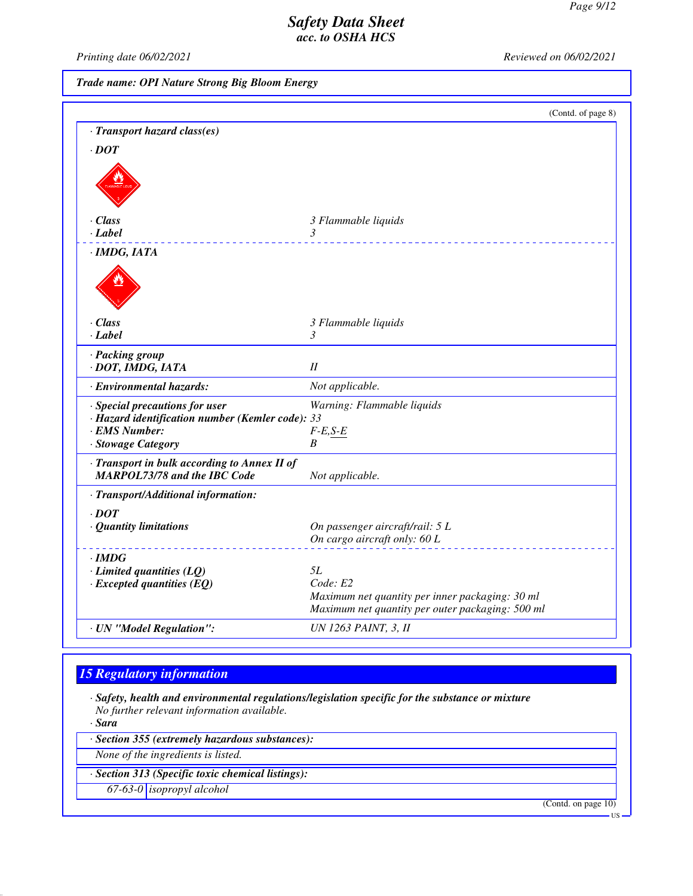*Printing date 06/02/2021 Reviewed on 06/02/2021*

*Trade name: OPI Nature Strong Big Bloom Energy*

|                                                                                                                           | (Contd. of page 8)                                                                                  |
|---------------------------------------------------------------------------------------------------------------------------|-----------------------------------------------------------------------------------------------------|
| · Transport hazard class(es)                                                                                              |                                                                                                     |
| $\cdot$ <i>DOT</i>                                                                                                        |                                                                                                     |
|                                                                                                                           |                                                                                                     |
| $\cdot$ Class                                                                                                             | 3 Flammable liquids                                                                                 |
| · Label                                                                                                                   | 3                                                                                                   |
| $\cdot$ IMDG, IATA                                                                                                        |                                                                                                     |
|                                                                                                                           |                                                                                                     |
| $\cdot$ Class                                                                                                             | 3 Flammable liquids                                                                                 |
| $\cdot$ Label                                                                                                             | 3                                                                                                   |
| · Packing group<br>· DOT, IMDG, IATA                                                                                      | II                                                                                                  |
| · Environmental hazards:                                                                                                  | Not applicable.                                                                                     |
| · Special precautions for user<br>· Hazard identification number (Kemler code): 33<br>· EMS Number:<br>· Stowage Category | Warning: Flammable liquids<br>$F-E, S-E$<br>B                                                       |
| · Transport in bulk according to Annex II of<br><b>MARPOL73/78 and the IBC Code</b>                                       | Not applicable.                                                                                     |
| · Transport/Additional information:                                                                                       |                                                                                                     |
| $\cdot$ <i>DOT</i>                                                                                                        |                                                                                                     |
| · Quantity limitations                                                                                                    | On passenger aircraft/rail: 5 L<br>On cargo aircraft only: 60 L                                     |
| $\cdot$ IMDG                                                                                                              |                                                                                                     |
| $\cdot$ Limited quantities (LQ)                                                                                           | 5L                                                                                                  |
| $\cdot$ Excepted quantities (EQ)                                                                                          | Code: E2                                                                                            |
|                                                                                                                           | Maximum net quantity per inner packaging: 30 ml<br>Maximum net quantity per outer packaging: 500 ml |
| · UN "Model Regulation":                                                                                                  | UN 1263 PAINT, 3, II                                                                                |

# *15 Regulatory information*

*· Safety, health and environmental regulations/legislation specific for the substance or mixture No further relevant information available.*

*· Sara*

*· Section 355 (extremely hazardous substances):*

*None of the ingredients is listed.*

*· Section 313 (Specific toxic chemical listings):*

*67-63-0 isopropyl alcohol*

(Contd. on page 10)

US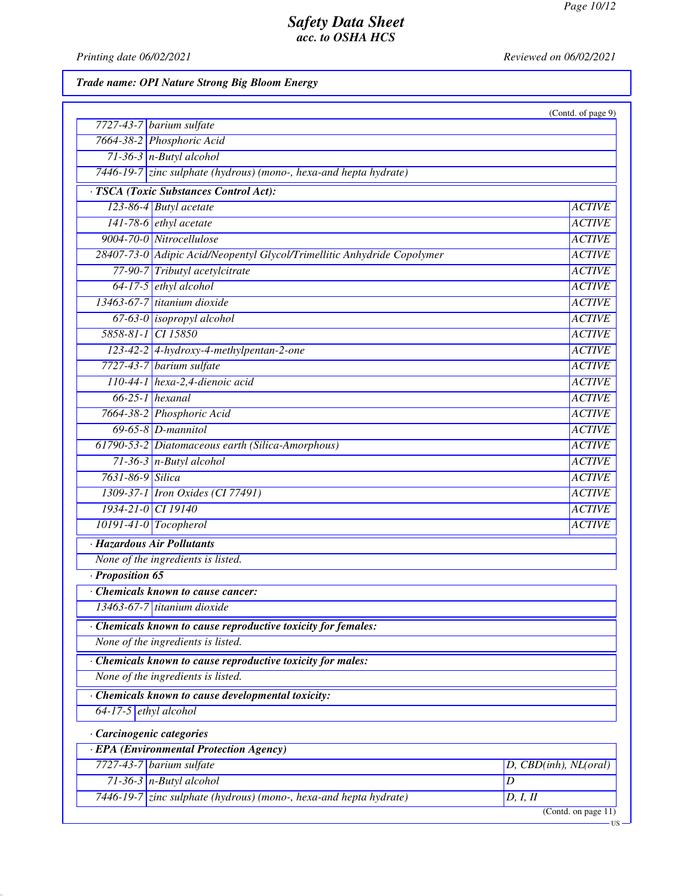*Printing date 06/02/2021 Reviewed on 06/02/2021*

*Trade name: OPI Nature Strong Big Bloom Energy*

|                                                                         | (Contd. of page 9)    |
|-------------------------------------------------------------------------|-----------------------|
| $7727-43-7$ barium sulfate                                              |                       |
| 7664-38-2 Phosphoric Acid                                               |                       |
| $71-36-3$ n-Butyl alcohol                                               |                       |
| 7446-19-7 zinc sulphate (hydrous) (mono-, hexa-and hepta hydrate)       |                       |
| · TSCA (Toxic Substances Control Act):                                  |                       |
| 123-86-4 Butyl acetate                                                  | <b>ACTIVE</b>         |
| 141-78-6 ethyl acetate                                                  | <b>ACTIVE</b>         |
| 9004-70-0 Nitrocellulose                                                | <b>ACTIVE</b>         |
| 28407-73-0 Adipic Acid/Neopentyl Glycol/Trimellitic Anhydride Copolymer |                       |
| 77-90-7 Tributyl acetylcitrate                                          |                       |
| $64-17-5$ ethyl alcohol                                                 |                       |
| 13463-67-7 titanium dioxide                                             | <b>ACTIVE</b>         |
| 67-63-0 isopropyl alcohol                                               | <b>ACTIVE</b>         |
| 5858-81-1 CI 15850                                                      | <b>ACTIVE</b>         |
| 123-42-2 4-hydroxy-4-methylpentan-2-one                                 | <b>ACTIVE</b>         |
| 7727-43-7 barium sulfate                                                | <b>ACTIVE</b>         |
| 110-44-1 hexa-2,4-dienoic acid                                          | <b>ACTIVE</b>         |
| $66-25-1$ hexanal                                                       | <b>ACTIVE</b>         |
| 7664-38-2 Phosphoric Acid                                               | <b>ACTIVE</b>         |
| $69-65-8$ <i>D</i> -mannitol                                            | <b>ACTIVE</b>         |
| 61790-53-2 Diatomaceous earth (Silica-Amorphous)                        | <b>ACTIVE</b>         |
| $71-36-3$ n-Butyl alcohol                                               | <b>ACTIVE</b>         |
| 7631-86-9 Silica                                                        |                       |
| 1309-37-1 Iron Oxides (CI 77491)                                        |                       |
| 1934-21-0 CI 19140                                                      |                       |
| $10191-41-0$ Tocopherol                                                 |                       |
| · Hazardous Air Pollutants                                              |                       |
| None of the ingredients is listed.                                      |                       |
| · Proposition 65                                                        |                       |
| Chemicals known to cause cancer:                                        |                       |
| 13463-67-7 titanium dioxide                                             |                       |
| · Chemicals known to cause reproductive toxicity for females:           |                       |
| None of the ingredients is listed.                                      |                       |
| · Chemicals known to cause reproductive toxicity for males:             |                       |
| None of the ingredients is listed.                                      |                       |
| Chemicals known to cause developmental toxicity:                        |                       |
| 64-17-5 $ethyl$ alcohol                                                 |                       |
| · Carcinogenic categories                                               |                       |
| · EPA (Environmental Protection Agency)                                 |                       |
| $7727-43-7$ barium sulfate                                              | D, CBD(inh), NL(oral) |
| $71-36-3$ n-Butyl alcohol<br>D                                          |                       |
| 7446-19-7 zinc sulphate (hydrous) (mono-, hexa-and hepta hydrate)       | D, I, II              |
|                                                                         | (Contd. on page 11)   |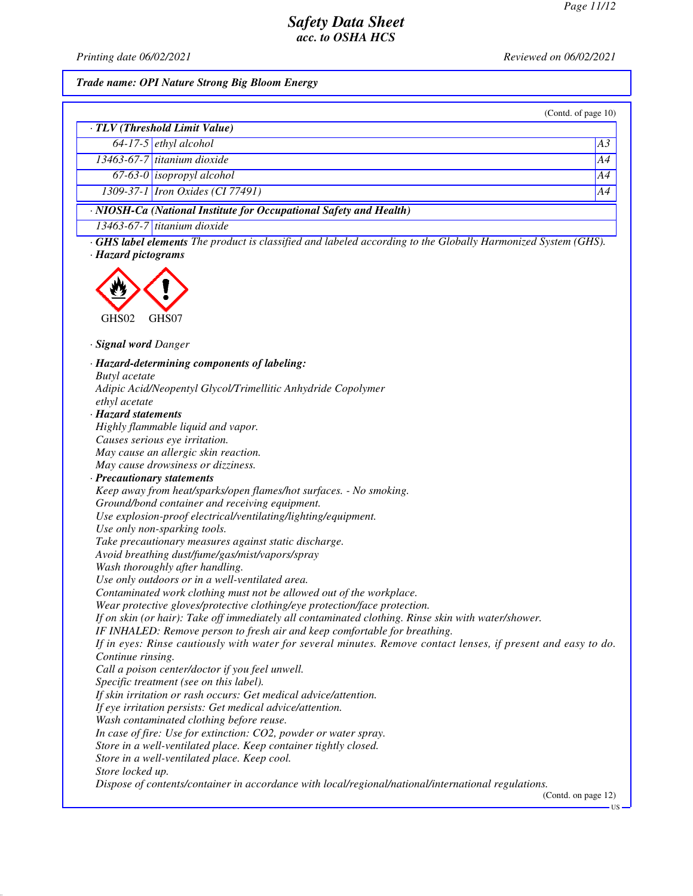*Printing date 06/02/2021 Reviewed on 06/02/2021*

*Trade name: OPI Nature Strong Big Bloom Energy*

| (Contd. of page $10$ )                                             |                                           |    |  |
|--------------------------------------------------------------------|-------------------------------------------|----|--|
| · TLV (Threshold Limit Value)                                      |                                           |    |  |
|                                                                    | $64-17-5$ ethyl alcohol                   | A3 |  |
|                                                                    | $\overline{13463}$ -67-7 titanium dioxide | A4 |  |
|                                                                    | $67-63-0$ isopropyl alcohol               | AA |  |
|                                                                    | 1309-37-1 Iron Oxides (CI 77491)          | A4 |  |
| · NIOSH-Ca (National Institute for Occupational Safety and Health) |                                           |    |  |
|                                                                    | $13463-67-7$ titanium dioxide             |    |  |

*· GHS label elements The product is classified and labeled according to the Globally Harmonized System (GHS). · Hazard pictograms*



*· Signal word Danger*

*· Hazard-determining components of labeling: Butyl acetate Adipic Acid/Neopentyl Glycol/Trimellitic Anhydride Copolymer ethyl acetate · Hazard statements Highly flammable liquid and vapor. Causes serious eye irritation. May cause an allergic skin reaction. May cause drowsiness or dizziness. · Precautionary statements Keep away from heat/sparks/open flames/hot surfaces. - No smoking. Ground/bond container and receiving equipment. Use explosion-proof electrical/ventilating/lighting/equipment. Use only non-sparking tools. Take precautionary measures against static discharge. Avoid breathing dust/fume/gas/mist/vapors/spray Wash thoroughly after handling. Use only outdoors or in a well-ventilated area. Contaminated work clothing must not be allowed out of the workplace. Wear protective gloves/protective clothing/eye protection/face protection. If on skin (or hair): Take off immediately all contaminated clothing. Rinse skin with water/shower. IF INHALED: Remove person to fresh air and keep comfortable for breathing. If in eyes: Rinse cautiously with water for several minutes. Remove contact lenses, if present and easy to do. Continue rinsing. Call a poison center/doctor if you feel unwell. Specific treatment (see on this label). If skin irritation or rash occurs: Get medical advice/attention. If eye irritation persists: Get medical advice/attention. Wash contaminated clothing before reuse. In case of fire: Use for extinction: CO2, powder or water spray. Store in a well-ventilated place. Keep container tightly closed. Store in a well-ventilated place. Keep cool. Store locked up. Dispose of contents/container in accordance with local/regional/national/international regulations.* (Contd. on page 12)

US